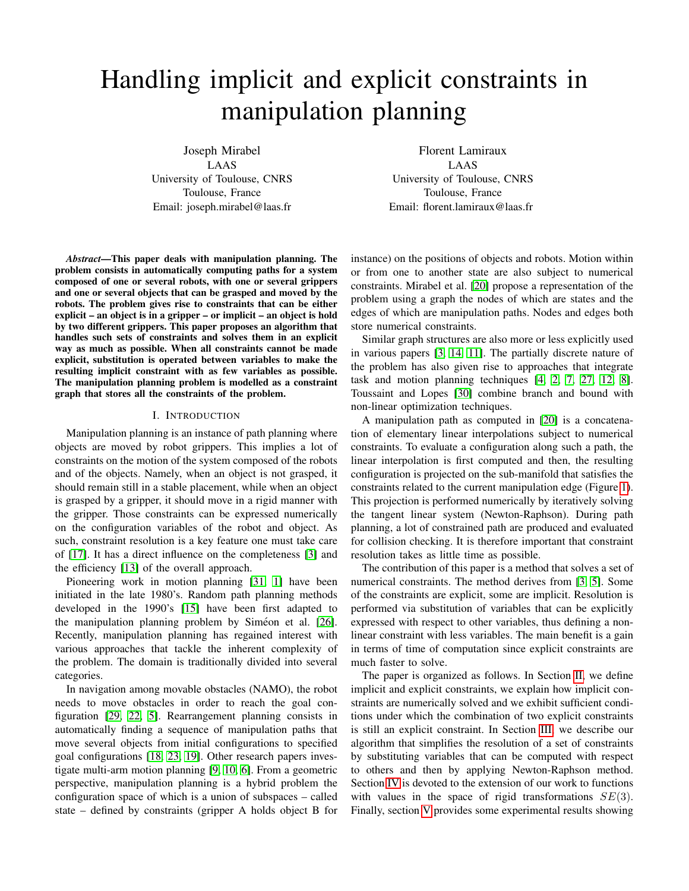# Handling implicit and explicit constraints in manipulation planning

Joseph Mirabel LAAS University of Toulouse, CNRS Toulouse, France Email: joseph.mirabel@laas.fr

Florent Lamiraux LAAS University of Toulouse, CNRS Toulouse, France Email: florent.lamiraux@laas.fr

*Abstract*—This paper deals with manipulation planning. The problem consists in automatically computing paths for a system composed of one or several robots, with one or several grippers and one or several objects that can be grasped and moved by the robots. The problem gives rise to constraints that can be either explicit – an object is in a gripper – or implicit – an object is hold by two different grippers. This paper proposes an algorithm that handles such sets of constraints and solves them in an explicit way as much as possible. When all constraints cannot be made explicit, substitution is operated between variables to make the resulting implicit constraint with as few variables as possible. The manipulation planning problem is modelled as a constraint graph that stores all the constraints of the problem.

# I. INTRODUCTION

Manipulation planning is an instance of path planning where objects are moved by robot grippers. This implies a lot of constraints on the motion of the system composed of the robots and of the objects. Namely, when an object is not grasped, it should remain still in a stable placement, while when an object is grasped by a gripper, it should move in a rigid manner with the gripper. Those constraints can be expressed numerically on the configuration variables of the robot and object. As such, constraint resolution is a key feature one must take care of [\[17\]](#page-7-0). It has a direct influence on the completeness [\[3\]](#page-7-1) and the efficiency [\[13\]](#page-7-2) of the overall approach.

Pioneering work in motion planning [\[31,](#page-8-0) [1\]](#page-7-3) have been initiated in the late 1980's. Random path planning methods developed in the 1990's [\[15\]](#page-7-4) have been first adapted to the manipulation planning problem by Siméon et al. [\[26\]](#page-8-1). Recently, manipulation planning has regained interest with various approaches that tackle the inherent complexity of the problem. The domain is traditionally divided into several categories.

In navigation among movable obstacles (NAMO), the robot needs to move obstacles in order to reach the goal configuration [\[29,](#page-8-2) [22,](#page-7-5) [5\]](#page-7-6). Rearrangement planning consists in automatically finding a sequence of manipulation paths that move several objects from initial configurations to specified goal configurations [\[18,](#page-7-7) [23,](#page-7-8) [19\]](#page-7-9). Other research papers investigate multi-arm motion planning [\[9,](#page-7-10) [10,](#page-7-11) [6\]](#page-7-12). From a geometric perspective, manipulation planning is a hybrid problem the configuration space of which is a union of subspaces – called state – defined by constraints (gripper A holds object B for instance) on the positions of objects and robots. Motion within or from one to another state are also subject to numerical constraints. Mirabel et al. [\[20\]](#page-7-13) propose a representation of the problem using a graph the nodes of which are states and the edges of which are manipulation paths. Nodes and edges both store numerical constraints.

Similar graph structures are also more or less explicitly used in various papers [\[3,](#page-7-1) [14,](#page-7-14) [11\]](#page-7-15). The partially discrete nature of the problem has also given rise to approaches that integrate task and motion planning techniques [\[4,](#page-7-16) [2,](#page-7-17) [7,](#page-7-18) [27,](#page-8-3) [12,](#page-7-19) [8\]](#page-7-20). Toussaint and Lopes [\[30\]](#page-8-4) combine branch and bound with non-linear optimization techniques.

A manipulation path as computed in [\[20\]](#page-7-13) is a concatenation of elementary linear interpolations subject to numerical constraints. To evaluate a configuration along such a path, the linear interpolation is first computed and then, the resulting configuration is projected on the sub-manifold that satisfies the constraints related to the current manipulation edge (Figure [1\)](#page-1-0). This projection is performed numerically by iteratively solving the tangent linear system (Newton-Raphson). During path planning, a lot of constrained path are produced and evaluated for collision checking. It is therefore important that constraint resolution takes as little time as possible.

The contribution of this paper is a method that solves a set of numerical constraints. The method derives from [\[3,](#page-7-1) [5\]](#page-7-6). Some of the constraints are explicit, some are implicit. Resolution is performed via substitution of variables that can be explicitly expressed with respect to other variables, thus defining a nonlinear constraint with less variables. The main benefit is a gain in terms of time of computation since explicit constraints are much faster to solve.

The paper is organized as follows. In Section [II,](#page-1-1) we define implicit and explicit constraints, we explain how implicit constraints are numerically solved and we exhibit sufficient conditions under which the combination of two explicit constraints is still an explicit constraint. In Section [III,](#page-2-0) we describe our algorithm that simplifies the resolution of a set of constraints by substituting variables that can be computed with respect to others and then by applying Newton-Raphson method. Section [IV](#page-3-0) is devoted to the extension of our work to functions with values in the space of rigid transformations  $SE(3)$ . Finally, section [V](#page-4-0) provides some experimental results showing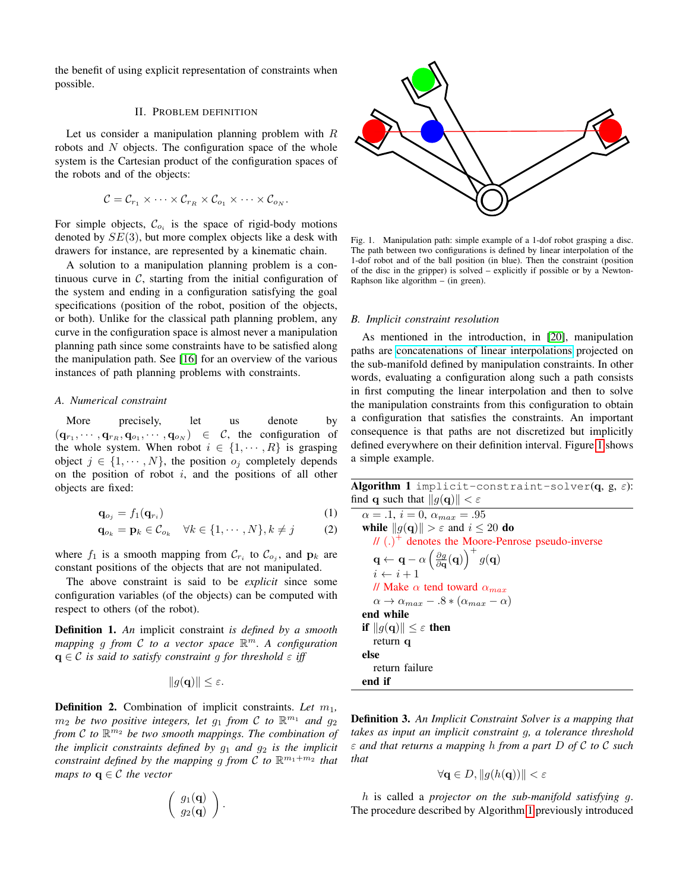the benefit of using explicit representation of constraints when possible.

#### II. PROBLEM DEFINITION

<span id="page-1-1"></span>Let us consider a manipulation planning problem with  $R$ robots and  $N$  objects. The configuration space of the whole system is the Cartesian product of the configuration spaces of the robots and of the objects:

$$
\mathcal{C} = \mathcal{C}_{r_1} \times \cdots \times \mathcal{C}_{r_R} \times \mathcal{C}_{o_1} \times \cdots \times \mathcal{C}_{o_N}.
$$

For simple objects,  $\mathcal{C}_{o_i}$  is the space of rigid-body motions denoted by  $SE(3)$ , but more complex objects like a desk with drawers for instance, are represented by a kinematic chain.

A solution to a manipulation planning problem is a continuous curve in  $C$ , starting from the initial configuration of the system and ending in a configuration satisfying the goal specifications (position of the robot, position of the objects, or both). Unlike for the classical path planning problem, any curve in the configuration space is almost never a manipulation planning path since some constraints have to be satisfied along the manipulation path. See [\[16\]](#page-7-21) for an overview of the various instances of path planning problems with constraints.

# *A. Numerical constraint*

More precisely, let us denote by  $(q_{r_1}, \dots, q_{r_R}, q_{o_1}, \dots, q_{o_N}) \in \mathcal{C}$ , the configuration of the whole system. When robot  $i \in \{1, \dots, R\}$  is grasping object  $j \in \{1, \dots, N\}$ , the position  $o_j$  completely depends on the position of robot  $i$ , and the positions of all other objects are fixed:

$$
\mathbf{q}_{o_j} = f_1(\mathbf{q}_{r_i}) \tag{1}
$$

$$
\mathbf{q}_{o_k} = \mathbf{p}_k \in \mathcal{C}_{o_k} \quad \forall k \in \{1, \cdots, N\}, k \neq j \tag{2}
$$

where  $f_1$  is a smooth mapping from  $\mathcal{C}_{r_i}$  to  $\mathcal{C}_{o_j}$ , and  $\mathbf{p}_k$  are constant positions of the objects that are not manipulated.

The above constraint is said to be *explicit* since some configuration variables (of the objects) can be computed with respect to others (of the robot).

Definition 1. *An* implicit constraint *is defined by a smooth mapping* g *from* C *to a vector space* R <sup>m</sup>*. A configuration*  $q \in \mathcal{C}$  *is said to satisfy constraint* g *for threshold*  $\varepsilon$  *iff* 

$$
||g(\mathbf{q})|| \leq \varepsilon.
$$

**Definition 2.** Combination of implicit constraints. Let  $m_1$ ,  $m_2$  *be two positive integers, let*  $g_1$  *from*  $C$  *to*  $\mathbb{R}^{m_1}$  *and*  $g_2$ *from* C *to* R <sup>m</sup><sup>2</sup> *be two smooth mappings. The combination of the implicit constraints defined by*  $g_1$  *and*  $g_2$  *is the implicit constraint defined by the mapping g from C to*  $\mathbb{R}^{m_1+m_2}$  *that maps to*  $q \in \mathcal{C}$  *the vector* 

$$
\left(\begin{array}{c} g_1(\mathbf{q}) \\ g_2(\mathbf{q}) \end{array}\right).
$$



<span id="page-1-0"></span>Fig. 1. Manipulation path: simple example of a 1-dof robot grasping a disc. The path between two configurations is defined by linear interpolation of the 1-dof robot and of the ball position (in blue). Then the constraint (position of the disc in the gripper) is solved – explicitly if possible or by a Newton-Raphson like algorithm  $-$  (in green).

# *B. Implicit constraint resolution*

As mentioned in the introduction, in [\[20\]](#page-7-13), manipulation paths are [concatenations of linear interpolations](https://github.com/humanoid-path-planner/hpp-core/blob/v4.0/include/hpp/core/path-vector.hh) projected on the sub-manifold defined by manipulation constraints. In other words, evaluating a configuration along such a path consists in first computing the linear interpolation and then to solve the manipulation constraints from this configuration to obtain a configuration that satisfies the constraints. An important consequence is that paths are not discretized but implicitly defined everywhere on their definition interval. Figure [1](#page-1-0) shows a simple example.

<span id="page-1-3"></span>Algorithm 1 implicit-constraint-solver(q, g,  $\varepsilon$ ): find q such that  $||g(\mathbf{q})|| < \varepsilon$ 

<span id="page-1-2"></span>
$$
\alpha = .1, i = 0, \alpha_{max} = .95
$$
\nwhile  $||g(\mathbf{q})|| > \varepsilon$  and  $i \leq 20$  do\n
$$
||\hat{g}(\mathbf{q})|| > \varepsilon
$$
 and  $i \leq 20$  do\n
$$
||\hat{g}(\mathbf{q})|| > \varepsilon
$$
 and  $i \leq 20$  do\n
$$
i \leftarrow \mathbf{q} - \alpha \left(\frac{\partial g}{\partial \mathbf{q}}(\mathbf{q})\right)^{+} g(\mathbf{q})
$$
\n
$$
i \leftarrow i + 1
$$
\n
$$
||\hat{g}(\mathbf{q})|| \leq \varepsilon
$$
 tend toward  $\alpha_{max}$ \n
$$
\alpha \to \alpha_{max} - .8 * (\alpha_{max} - \alpha)
$$
\nend while\nif  $||g(\mathbf{q})|| \leq \varepsilon$  then\nreturn  $\mathbf{q}$ \nelse\nreturn failure\nend if

Definition 3. *An Implicit Constraint Solver is a mapping that takes as input an implicit constraint* g*, a tolerance threshold* ε *and that returns a mapping* h *from a part* D *of* C *to* C *such that*

$$
\forall \mathbf{q} \in D, \|g(h(\mathbf{q}))\| < \varepsilon
$$

h is called a *projector on the sub-manifold satisfying* g. The procedure described by Algorithm [1](#page-1-2) previously introduced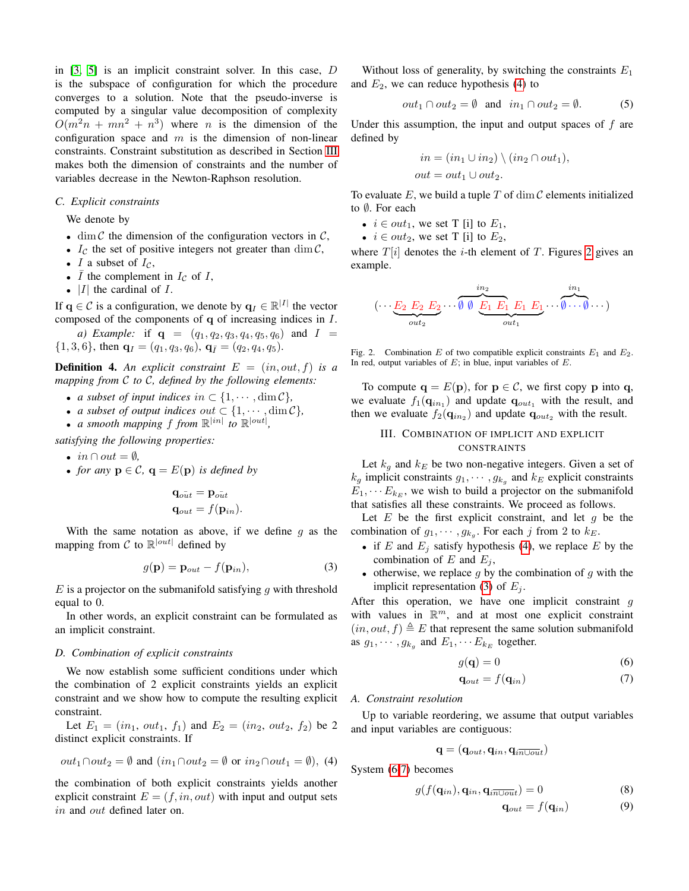in [\[3,](#page-7-1) [5\]](#page-7-6) is an implicit constraint solver. In this case, D is the subspace of configuration for which the procedure converges to a solution. Note that the pseudo-inverse is computed by a singular value decomposition of complexity  $O(m^2n + mn^2 + n^3)$  where *n* is the dimension of the configuration space and  $m$  is the dimension of non-linear constraints. Constraint substitution as described in Section [III](#page-2-0) makes both the dimension of constraints and the number of variables decrease in the Newton-Raphson resolution.

#### *C. Explicit constraints*

We denote by

- dim  $\mathcal C$  the dimension of the configuration vectors in  $\mathcal C$ ,
- $I_{\mathcal{C}}$  the set of positive integers not greater than dim  $\mathcal{C}$ ,
- I a subset of  $I_{\mathcal{C}}$ ,
- $\bar{I}$  the complement in  $I_{\mathcal{C}}$  of  $I$ ,
- $|I|$  the cardinal of  $I$ .

If  $q \in \mathcal{C}$  is a configuration, we denote by  $q_I \in \mathbb{R}^{|I|}$  the vector composed of the components of q of increasing indices in I.

*a) Example:* if  $q = (q_1, q_2, q_3, q_4, q_5, q_6)$  and  $I =$  $\{1, 3, 6\}$ , then  $\mathbf{q}_I = (q_1, q_3, q_6)$ ,  $\mathbf{q}_{\bar{I}} = (q_2, q_4, q_5)$ .

**Definition 4.** An explicit constraint  $E = (in, out, f)$  is a *mapping from* C *to* C*, defined by the following elements:*

- *a subset of input indices in*  $\subset \{1, \dots, \dim \mathcal{C}\},\$
- *a subset of output indices out*  $\subset \{1, \dots, \dim \mathcal{C}\},\$
- *a smooth mapping*  $f$  *from*  $\mathbb{R}^{|in|}$  *to*  $\mathbb{R}^{|out|}$ *,*

*satisfying the following properties:*

- $in \cap out = \emptyset$ ,
- *for any*  $p \in C$ ,  $q = E(p)$  *is defined by*

<span id="page-2-3"></span>
$$
\mathbf{q}_{o\bar{u}t} = \mathbf{p}_{o\bar{u}t}
$$

$$
\mathbf{q}_{out} = f(\mathbf{p}_{in}).
$$

With the same notation as above, if we define  $g$  as the mapping from C to  $\mathbb{R}^{|out|}$  defined by

$$
g(\mathbf{p}) = \mathbf{p}_{out} - f(\mathbf{p}_{in}),
$$
\n(3)

 $E$  is a projector on the submanifold satisfying q with threshold equal to 0.

In other words, an explicit constraint can be formulated as an implicit constraint.

#### <span id="page-2-7"></span>*D. Combination of explicit constraints*

We now establish some sufficient conditions under which the combination of 2 explicit constraints yields an explicit constraint and we show how to compute the resulting explicit constraint.

Let  $E_1 = (in_1, out_1, f_1)$  and  $E_2 = (in_2, out_2, f_2)$  be 2 distinct explicit constraints. If

<span id="page-2-1"></span>
$$
out_1 \cap out_2 = \emptyset
$$
 and  $(in_1 \cap out_2 = \emptyset \text{ or } in_2 \cap out_1 = \emptyset)$ , (4)

the combination of both explicit constraints yields another explicit constraint  $E = (f, in, out)$  with input and output sets in and out defined later on.

Without loss of generality, by switching the constraints  $E_1$ and  $E_2$ , we can reduce hypothesis [\(4\)](#page-2-1) to

$$
out_1 \cap out_2 = \emptyset
$$
 and  $in_1 \cap out_2 = \emptyset$ . (5)

Under this assumption, the input and output spaces of  $f$  are defined by

$$
in = (in_1 \cup in_2) \setminus (in_2 \cap out_1),
$$
  

$$
out = out_1 \cup out_2.
$$

To evaluate  $E$ , we build a tuple  $T$  of  $\dim \mathcal{C}$  elements initialized to *≬*. For each

- $i \in out_1$ , we set T [i] to  $E_1$ ,
- $i \in out_2$ , we set T [i] to  $E_2$ ,

where  $T[i]$  denotes the *i*-th element of  $T$ . Figures [2](#page-2-2) gives an example.

$$
(\cdots \underbrace{E_2 \ E_2 \ E_2}_{out_2} \cdots \underbrace{\emptyset \ \emptyset \ \underbrace{E_1 \ E_1}_{out_1} E_1 \ E_1}_{out_1} \cdots \underbrace{\emptyset \cdots \emptyset}_{out_1})
$$

<span id="page-2-2"></span>Fig. 2. Combination E of two compatible explicit constraints  $E_1$  and  $E_2$ . In red, output variables of  $E$ ; in blue, input variables of  $E$ .

To compute  $\mathbf{q} = E(\mathbf{p})$ , for  $\mathbf{p} \in \mathcal{C}$ , we first copy p into q, we evaluate  $f_1(\mathbf{q}_{in_1})$  and update  $\mathbf{q}_{out_1}$  with the result, and then we evaluate  $f_2(\mathbf{q}_{in_2})$  and update  $\mathbf{q}_{out_2}$  with the result.

# <span id="page-2-0"></span>III. COMBINATION OF IMPLICIT AND EXPLICIT CONSTRAINTS

Let  $k_g$  and  $k_E$  be two non-negative integers. Given a set of  $k_g$  implicit constraints  $g_1, \dots, g_{k_g}$  and  $k_E$  explicit constraints  $E_1, \cdots E_{k_F}$ , we wish to build a projector on the submanifold that satisfies all these constraints. We proceed as follows.

Let  $E$  be the first explicit constraint, and let  $g$  be the combination of  $g_1, \dots, g_{k_g}$ . For each j from 2 to  $k_E$ .

- if E and  $E_j$  satisfy hypothesis [\(4\)](#page-2-1), we replace E by the combination of E and  $E_i$ ,
- otherwise, we replace  $g$  by the combination of  $g$  with the implicit representation [\(3\)](#page-2-3) of  $E_i$ .

After this operation, we have one implicit constraint  $q$ with values in  $\mathbb{R}^m$ , and at most one explicit constraint  $(in, out, f) \triangleq E$  that represent the same solution submanifold as  $g_1, \dots, g_{k_g}$  and  $E_1, \dots E_{k_E}$  together.

<span id="page-2-4"></span>
$$
g(\mathbf{q}) = 0 \tag{6}
$$

<span id="page-2-5"></span>
$$
\mathbf{q}_{out} = f(\mathbf{q}_{in}) \tag{7}
$$

## *A. Constraint resolution*

Up to variable reordering, we assume that output variables and input variables are contiguous:

$$
\mathbf{q} = (\mathbf{q}_{out}, \mathbf{q}_{in}, \mathbf{q}_{i\overline{n\cup out}})
$$

System [\(6](#page-2-4)[-7\)](#page-2-5) becomes

$$
g(f(\mathbf{q}_{in}), \mathbf{q}_{in}, \mathbf{q}_{i\overline{n\cup out}}) = 0
$$
 (8)

<span id="page-2-6"></span>
$$
\mathbf{q}_{out} = f(\mathbf{q}_{in}) \tag{9}
$$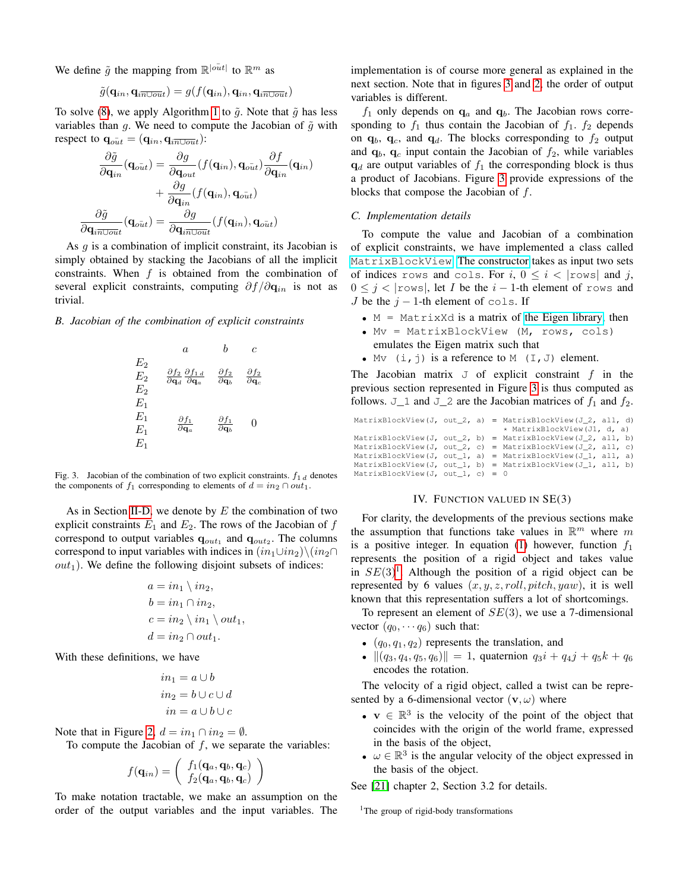We define  $\tilde{g}$  the mapping from  $\mathbb{R}^{|o\bar{u}t|}$  to  $\mathbb{R}^m$  as

$$
\tilde{g}(\mathbf{q}_{in}, \mathbf{q}_{in\overline{100ut}}) = g(f(\mathbf{q}_{in}), \mathbf{q}_{in}, \mathbf{q}_{in\overline{100ut}})
$$

To solve [\(8\)](#page-2-6), we apply Algorithm [1](#page-1-2) to  $\tilde{g}$ . Note that  $\tilde{g}$  has less variables than g. We need to compute the Jacobian of  $\tilde{g}$  with respect to  $\mathbf{q}_{out} = (\mathbf{q}_{in}, \mathbf{q}_{in\text{Unit}})$ :

$$
\frac{\partial \tilde{g}}{\partial \mathbf{q}_{in}}(\mathbf{q}_{o\bar{u}t}) = \frac{\partial g}{\partial \mathbf{q}_{out}}(f(\mathbf{q}_{in}), \mathbf{q}_{o\bar{u}t}) \frac{\partial f}{\partial \mathbf{q}_{in}}(\mathbf{q}_{in}) \n+ \frac{\partial g}{\partial \mathbf{q}_{in}}(f(\mathbf{q}_{in}), \mathbf{q}_{o\bar{u}t}) \n\frac{\partial \tilde{g}}{\partial \mathbf{q}_{in\text{Uout}}}(\mathbf{q}_{o\bar{u}t}) = \frac{\partial g}{\partial \mathbf{q}_{in\text{Uout}}} (f(\mathbf{q}_{in}), \mathbf{q}_{o\bar{u}t})
$$

As  $q$  is a combination of implicit constraint, its Jacobian is simply obtained by stacking the Jacobians of all the implicit constraints. When  $f$  is obtained from the combination of several explicit constraints, computing  $\partial f / \partial \mathbf{q}_{in}$  is not as trivial.

*B. Jacobian of the combination of explicit constraints*



<span id="page-3-1"></span>Fig. 3. Jacobian of the combination of two explicit constraints.  $f_1$  d denotes the components of  $f_1$  corresponding to elements of  $d = in_2 \cap out_1$ .

As in Section [II-D,](#page-2-7) we denote by  $E$  the combination of two explicit constraints  $E_1$  and  $E_2$ . The rows of the Jacobian of f correspond to output variables  $\mathbf{q}_{out_1}$  and  $\mathbf{q}_{out_2}$ . The columns correspond to input variables with indices in  $(in_1\cup in_2)\setminus(in_2\cap$  $out<sub>1</sub>$ ). We define the following disjoint subsets of indices:

$$
a = in_1 \setminus in_2,
$$
  
\n
$$
b = in_1 \cap in_2,
$$
  
\n
$$
c = in_2 \setminus in_1 \setminus out_1,
$$
  
\n
$$
d = in_2 \cap out_1.
$$

With these definitions, we have

$$
in_1 = a \cup b
$$
  

$$
in_2 = b \cup c \cup d
$$
  

$$
in = a \cup b \cup c
$$

Note that in Figure [2,](#page-2-2)  $d = in_1 \cap in_2 = \emptyset$ .

To compute the Jacobian of  $f$ , we separate the variables:

$$
f(\mathbf{q}_{in}) = \left(\begin{array}{c} f_1(\mathbf{q}_a, \mathbf{q}_b, \mathbf{q}_c) \\ f_2(\mathbf{q}_a, \mathbf{q}_b, \mathbf{q}_c) \end{array}\right)
$$

To make notation tractable, we make an assumption on the order of the output variables and the input variables. The implementation is of course more general as explained in the next section. Note that in figures [3](#page-3-1) and [2,](#page-2-2) the order of output variables is different.

 $f_1$  only depends on  $\mathbf{q}_a$  and  $\mathbf{q}_b$ . The Jacobian rows corresponding to  $f_1$  thus contain the Jacobian of  $f_1$ .  $f_2$  depends on  $q_b$ ,  $q_c$ , and  $q_d$ . The blocks corresponding to  $f_2$  output and  $\mathbf{q}_b$ ,  $\mathbf{q}_c$  input contain the Jacobian of  $f_2$ , while variables  $q_d$  are output variables of  $f_1$  the corresponding block is thus a product of Jacobians. Figure [3](#page-3-1) provide expressions of the blocks that compose the Jacobian of  $f$ .

#### *C. Implementation details*

To compute the value and Jacobian of a combination of explicit constraints, we have implemented a class called [MatrixBlockView](https://github.com/humanoid-path-planner/hpp-constraints/blob/98c23f3c66d3704bae787e5f53603e9dabfe2811/include/hpp/constraints/matrix-view.hh#L810). [The constructor](https://github.com/humanoid-path-planner/hpp-constraints/blob/98c23f3c66d3704bae787e5f53603e9dabfe2811/include/hpp/constraints/matrix-view.hh#L889) takes as input two sets of indices rows and cols. For i,  $0 \le i <$  rows and j,  $0 \leq j <$  |rows|, let I be the  $i - 1$ -th element of rows and J be the  $j - 1$ -th element of cols. If

- $M = MatrixXd$  is a matrix of [the Eigen library,](http://eigen.tuxfamily.org/index.php?title=Main_Page) then
- Mv = MatrixBlockView (M, rows, cols) emulates the Eigen matrix such that
- Mv  $(i, j)$  is a reference to M  $(I, J)$  element.

The Jacobian matrix  $J$  of explicit constraint f in the previous section represented in Figure [3](#page-3-1) is thus computed as follows.  $J_1$  and  $J_2$  are the Jacobian matrices of  $f_1$  and  $f_2$ .

|                                  |  | MatrixBlockView(J, out 2, a) = MatrixBlockView(J 2, all, d) |  |
|----------------------------------|--|-------------------------------------------------------------|--|
|                                  |  | * MatrixBlockView(J1, d, a)                                 |  |
|                                  |  | MatrixBlockView(J, out 2, b) = MatrixBlockView(J 2, all, b) |  |
|                                  |  | MatrixBlockView(J, out 2, c) = MatrixBlockView(J 2, all, c) |  |
|                                  |  | MatrixBlockView(J, out_1, a) = MatrixBlockView(J_1, all, a) |  |
|                                  |  | MatrixBlockView(J, out 1, b) = MatrixBlockView(J 1, all, b) |  |
| MatrixBlockView(J, out 1, c) = 0 |  |                                                             |  |

## IV. FUNCTION VALUED IN SE(3)

<span id="page-3-0"></span>For clarity, the developments of the previous sections make the assumption that functions take values in  $\mathbb{R}^m$  where m is a positive integer. In equation [\(1\)](#page-1-3) however, function  $f_1$ represents the position of a rigid object and takes value in  $SE(3)^1$  $SE(3)^1$ . Although the position of a rigid object can be represented by 6 values  $(x, y, z, roll, pitch, yaw)$ , it is well known that this representation suffers a lot of shortcomings.

To represent an element of  $SE(3)$ , we use a 7-dimensional vector  $(q_0, \dots, q_6)$  such that:

- $(q_0, q_1, q_2)$  represents the translation, and
- $\|(q_3, q_4, q_5, q_6)\| = 1$ , quaternion  $q_3i + q_4j + q_5k + q_6$ encodes the rotation.

The velocity of a rigid object, called a twist can be represented by a 6-dimensional vector  $(v, \omega)$  where

- $v \in \mathbb{R}^3$  is the velocity of the point of the object that coincides with the origin of the world frame, expressed in the basis of the object,
- $\omega \in \mathbb{R}^3$  is the angular velocity of the object expressed in the basis of the object.

See [\[21\]](#page-7-22) chapter 2, Section 3.2 for details.

<span id="page-3-2"></span><sup>1</sup>The group of rigid-body transformations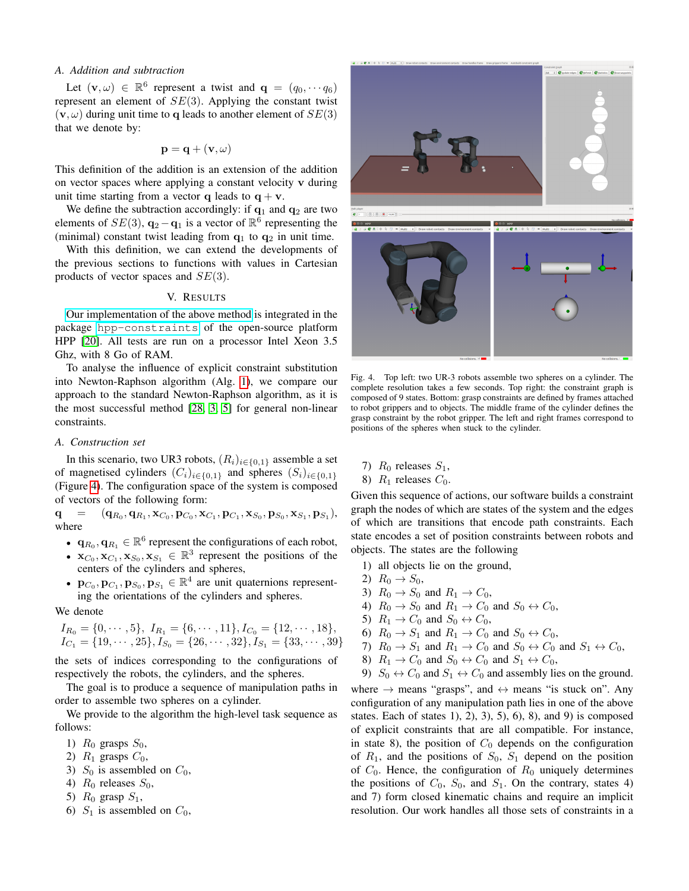#### *A. Addition and subtraction*

Let  $(\mathbf{v}, \omega) \in \mathbb{R}^6$  represent a twist and  $\mathbf{q} = (q_0, \dots, q_6)$ represent an element of  $SE(3)$ . Applying the constant twist  $(v, \omega)$  during unit time to q leads to another element of  $SE(3)$ that we denote by:

$$
\mathbf{p} = \mathbf{q} + (\mathbf{v}, \omega)
$$

This definition of the addition is an extension of the addition on vector spaces where applying a constant velocity v during unit time starting from a vector q leads to  $q + v$ .

We define the subtraction accordingly: if  $q_1$  and  $q_2$  are two elements of  $SE(3)$ ,  $\mathbf{q}_2 - \mathbf{q}_1$  is a vector of  $\mathbb{R}^6$  representing the (minimal) constant twist leading from  $q_1$  to  $q_2$  in unit time.

With this definition, we can extend the developments of the previous sections to functions with values in Cartesian products of vector spaces and  $SE(3)$ .

# V. RESULTS

<span id="page-4-0"></span>[Our implementation of the above method](https://github.com/humanoid-path-planner/hpp-constraints/blob/master/include/hpp/constraints/hybrid-solver.hh) is integrated in the package [hpp-constraints](https://github.com/humanoid-path-planner/hpp-constraints) of the open-source platform HPP [\[20\]](#page-7-13). All tests are run on a processor Intel Xeon 3.5 Ghz, with 8 Go of RAM.

To analyse the influence of explicit constraint substitution into Newton-Raphson algorithm (Alg. [1\)](#page-1-2), we compare our approach to the standard Newton-Raphson algorithm, as it is the most successful method [\[28,](#page-8-5) [3,](#page-7-1) [5\]](#page-7-6) for general non-linear constraints.

#### <span id="page-4-2"></span>*A. Construction set*

In this scenario, two UR3 robots,  $(R_i)_{i \in \{0,1\}}$  assemble a set of magnetised cylinders  $(C_i)_{i \in \{0,1\}}$  and spheres  $(S_i)_{i \in \{0,1\}}$ (Figure [4\)](#page-4-1). The configuration space of the system is composed of vectors of the following form:

 ${\bf q} \quad = \quad ({\bf q}_{R_0},{\bf q}_{R_1},{\bf x}_{C_0},{\bf p}_{C_0},{\bf x}_{C_1},{\bf p}_{C_1},{\bf x}_{S_0},{\bf p}_{S_0},{\bf x}_{S_1},{\bf p}_{S_1}),$ where

- $\mathbf{q}_{R_0}, \mathbf{q}_{R_1} \in \mathbb{R}^6$  represent the configurations of each robot,
- $\mathbf{x}_{C_0}, \mathbf{x}_{C_1}, \mathbf{x}_{S_0}, \mathbf{x}_{S_1} \in \mathbb{R}^3$  represent the positions of the centers of the cylinders and spheres,
- $\mathbf{p}_{C_0}, \mathbf{p}_{C_1}, \mathbf{p}_{S_0}, \mathbf{p}_{S_1} \in \mathbb{R}^4$  are unit quaternions representing the orientations of the cylinders and spheres.

#### We denote

$$
I_{R_0} = \{0, \cdots, 5\}, I_{R_1} = \{6, \cdots, 11\}, I_{C_0} = \{12, \cdots, 18\},
$$
  

$$
I_{C_1} = \{19, \cdots, 25\}, I_{S_0} = \{26, \cdots, 32\}, I_{S_1} = \{33, \cdots, 39\}
$$

the sets of indices corresponding to the configurations of respectively the robots, the cylinders, and the spheres.

The goal is to produce a sequence of manipulation paths in order to assemble two spheres on a cylinder.

We provide to the algorithm the high-level task sequence as follows:

- 1)  $R_0$  grasps  $S_0$ ,
- 2)  $R_1$  grasps  $C_0$ ,
- 3)  $S_0$  is assembled on  $C_0$ ,
- 4)  $R_0$  releases  $S_0$ ,
- 5)  $R_0$  grasp  $S_1$ ,
- 6)  $S_1$  is assembled on  $C_0$ ,



Fig. 4. Top left: two UR-3 robots assemble two spheres on a cylinder. The complete resolution takes a few seconds. Top right: the constraint graph is composed of 9 states. Bottom: grasp constraints are defined by frames attached to robot grippers and to objects. The middle frame of the cylinder defines the grasp constraint by the robot gripper. The left and right frames correspond to positions of the spheres when stuck to the cylinder.

<span id="page-4-1"></span>7)  $R_0$  releases  $S_1$ ,

8)  $R_1$  releases  $C_0$ .

Given this sequence of actions, our software builds a constraint graph the nodes of which are states of the system and the edges of which are transitions that encode path constraints. Each state encodes a set of position constraints between robots and objects. The states are the following

- 1) all objects lie on the ground,
- 2)  $R_0 \to S_0$ ,
- 3)  $R_0 \rightarrow S_0$  and  $R_1 \rightarrow C_0$ ,
- 4)  $R_0 \rightarrow S_0$  and  $R_1 \rightarrow C_0$  and  $S_0 \leftrightarrow C_0$ ,
- 5)  $R_1 \rightarrow C_0$  and  $S_0 \leftrightarrow C_0$ ,
- 6)  $R_0 \rightarrow S_1$  and  $R_1 \rightarrow C_0$  and  $S_0 \leftrightarrow C_0$ ,
- 7)  $R_0 \rightarrow S_1$  and  $R_1 \rightarrow C_0$  and  $S_0 \leftrightarrow C_0$  and  $S_1 \leftrightarrow C_0$ ,
- 8)  $R_1 \rightarrow C_0$  and  $S_0 \leftrightarrow C_0$  and  $S_1 \leftrightarrow C_0$ ,
- 9)  $S_0 \leftrightarrow C_0$  and  $S_1 \leftrightarrow C_0$  and assembly lies on the ground.

where  $\rightarrow$  means "grasps", and  $\leftrightarrow$  means "is stuck on". Any configuration of any manipulation path lies in one of the above states. Each of states  $1$ ,  $2$ ,  $3$ ,  $5$ ,  $6$ ,  $8$ ,  $3$ ,  $5$ ,  $6$ ),  $8$ ) is composed of explicit constraints that are all compatible. For instance, in state 8), the position of  $C_0$  depends on the configuration of  $R_1$ , and the positions of  $S_0$ ,  $S_1$  depend on the position of  $C_0$ . Hence, the configuration of  $R_0$  uniquely determines the positions of  $C_0$ ,  $S_0$ , and  $S_1$ . On the contrary, states 4) and 7) form closed kinematic chains and require an implicit resolution. Our work handles all those sets of constraints in a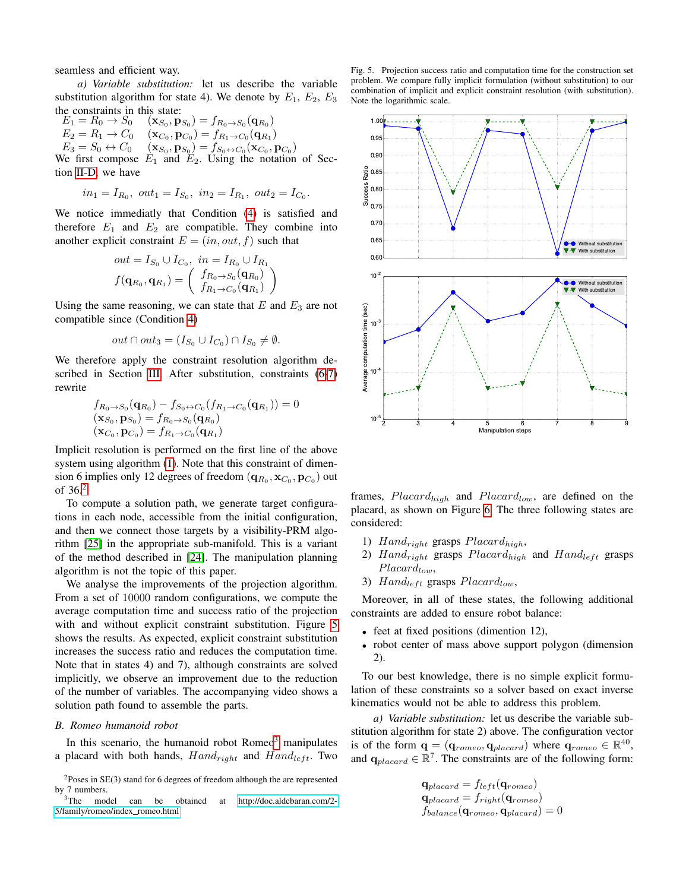seamless and efficient way.

*a) Variable substitution:* let us describe the variable substitution algorithm for state 4). We denote by  $E_1$ ,  $E_2$ ,  $E_3$ the constraints in this state:

 $E_1 = R_0 \rightarrow S_0$  $(p_{S_0}) = f_{R_0 \to S_0}(\mathbf{q}_{R_0})$  $E_2 = R_1 \rightarrow C_0$  $\langle {\bf p}_{C_0} \rangle = f_{R_1 \to C_0}({\bf q}_{R_1})$  $E_3 = S_0 \leftrightarrow C_0 \quad (\mathbf{x}_{S_0}, \mathbf{p}_{S_0}) = f_{S_0 \leftrightarrow C_0}(\mathbf{x}_{C_0}, \mathbf{p}_{C_0})$ We first compose  $E_1$  and  $E_2$ . Using the notation of Section [II-D,](#page-2-7) we have

$$
in_1 = I_{R_0}
$$
,  $out_1 = I_{S_0}$ ,  $in_2 = I_{R_1}$ ,  $out_2 = I_{C_0}$ .

We notice immediatly that Condition [\(4\)](#page-2-1) is satisfied and therefore  $E_1$  and  $E_2$  are compatible. They combine into another explicit constraint  $E = (in, out, f)$  such that

$$
out = I_{S_0} \cup I_{C_0}, in = I_{R_0} \cup I_{R_1}
$$

$$
f(\mathbf{q}_{R_0}, \mathbf{q}_{R_1}) = \begin{pmatrix} f_{R_0 \to S_0}(\mathbf{q}_{R_0}) \\ f_{R_1 \to C_0}(\mathbf{q}_{R_1}) \end{pmatrix}
$$

Using the same reasoning, we can state that  $E$  and  $E_3$  are not compatible since (Condition [4\)](#page-2-1)

$$
out \cap out_3 = (I_{S_0} \cup I_{C_0}) \cap I_{S_0} \neq \emptyset.
$$

We therefore apply the constraint resolution algorithm described in Section [III.](#page-2-0) After substitution, constraints [\(6](#page-2-4)[-7\)](#page-2-5) rewrite

$$
f_{R_0 \to S_0}(\mathbf{q}_{R_0}) - f_{S_0 \to C_0}(f_{R_1 \to C_0}(\mathbf{q}_{R_1})) = 0
$$
  
\n
$$
(\mathbf{x}_{S_0}, \mathbf{p}_{S_0}) = f_{R_0 \to S_0}(\mathbf{q}_{R_0})
$$
  
\n
$$
(\mathbf{x}_{C_0}, \mathbf{p}_{C_0}) = f_{R_1 \to C_0}(\mathbf{q}_{R_1})
$$

Implicit resolution is performed on the first line of the above system using algorithm [\(1\)](#page-1-2). Note that this constraint of dimension 6 implies only 12 degrees of freedom  $({\bf q}_{R_0}, {\bf x}_{C_0}, {\bf p}_{C_0})$  out of  $36<sup>2</sup>$  $36<sup>2</sup>$  $36<sup>2</sup>$ 

To compute a solution path, we generate target configurations in each node, accessible from the initial configuration, and then we connect those targets by a visibility-PRM algorithm [\[25\]](#page-8-6) in the appropriate sub-manifold. This is a variant of the method described in [\[24\]](#page-7-23). The manipulation planning algorithm is not the topic of this paper.

We analyse the improvements of the projection algorithm. From a set of 10000 random configurations, we compute the average computation time and success ratio of the projection with and without explicit constraint substitution. Figure [5](#page-5-1) shows the results. As expected, explicit constraint substitution increases the success ratio and reduces the computation time. Note that in states 4) and 7), although constraints are solved implicitly, we observe an improvement due to the reduction of the number of variables. The accompanying video shows a solution path found to assemble the parts.

## <span id="page-5-3"></span>*B. Romeo humanoid robot*

In this scenario, the humanoid robot  $Romeo<sup>3</sup>$  $Romeo<sup>3</sup>$  $Romeo<sup>3</sup>$  manipulates a placard with both hands,  $Hand_{right}$  and  $Hand_{left}$ . Two

<span id="page-5-0"></span>

<span id="page-5-2"></span>can be obtained at [http://doc.aldebaran.com/2-](http://doc.aldebaran.com/2-5/family/romeo/index_romeo.html) [5/family/romeo/index](http://doc.aldebaran.com/2-5/family/romeo/index_romeo.html)\_romeo.html

<span id="page-5-1"></span>Fig. 5. Projection success ratio and computation time for the construction set problem. We compare fully implicit formulation (without substitution) to our combination of implicit and explicit constraint resolution (with substitution). Note the logarithmic scale.



frames,  $Placard_{high}$  and  $Placard_{low}$ , are defined on the placard, as shown on Figure [6.](#page-6-0) The three following states are considered:

- 1) Hand<sub>right</sub> grasps  $Placard_{high}$ ,
- 2)  $Hand_{right}$  grasps  $Placard_{high}$  and  $Hand_{left}$  grasps  $Placard_{low}$ ,
- 3) Hand<sub>left</sub> grasps  $Placard_{low}$ ,

Moreover, in all of these states, the following additional constraints are added to ensure robot balance:

- feet at fixed positions (dimention 12),
- robot center of mass above support polygon (dimension 2).

To our best knowledge, there is no simple explicit formulation of these constraints so a solver based on exact inverse kinematics would not be able to address this problem.

*a) Variable substitution:* let us describe the variable substitution algorithm for state 2) above. The configuration vector is of the form  $\mathbf{q} = (\mathbf{q}_{romeo}, \mathbf{q}_{placard})$  where  $\mathbf{q}_{romeo} \in \mathbb{R}^{40}$ , and  $q_{placard} \in \mathbb{R}^7$ . The constraints are of the following form:

$$
\mathbf{q}_{placard} = f_{left}(\mathbf{q}_{romeo})
$$
\n
$$
\mathbf{q}_{placard} = f_{right}(\mathbf{q}_{romeo})
$$
\n
$$
f_{balance}(\mathbf{q}_{romeo}, \mathbf{q}_{placard}) = 0
$$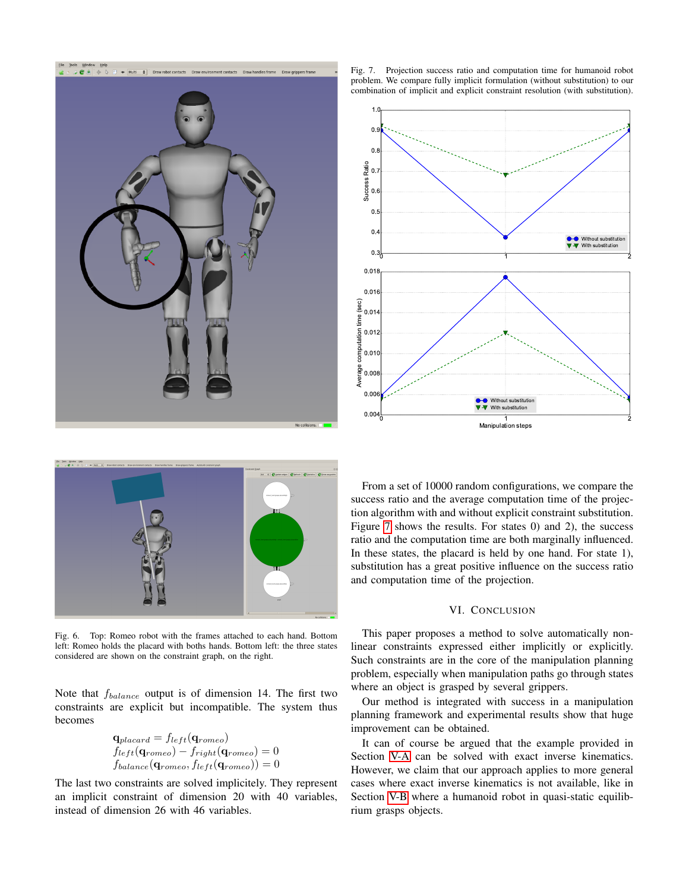

<span id="page-6-1"></span>Fig. 7. Projection success ratio and computation time for humanoid robot problem. We compare fully implicit formulation (without substitution) to our combination of implicit and explicit constraint resolution (with substitution).





Fig. 6. Top: Romeo robot with the frames attached to each hand. Bottom left: Romeo holds the placard with boths hands. Bottom left: the three states considered are shown on the constraint graph, on the right.

<span id="page-6-0"></span>Note that fbalance output is of dimension 14. The first two constraints are explicit but incompatible. The system thus becomes

$$
\mathbf{q}_{placard} = f_{left}(\mathbf{q}_{romeo})
$$
\n
$$
f_{left}(\mathbf{q}_{romeo}) - f_{right}(\mathbf{q}_{romeo}) = 0
$$
\n
$$
f_{balance}(\mathbf{q}_{romeo}, f_{left}(\mathbf{q}_{romeo})) = 0
$$

The last two constraints are solved implicitely. They represent an implicit constraint of dimension 20 with 40 variables, instead of dimension 26 with 46 variables.

From a set of 10000 random configurations, we compare the success ratio and the average computation time of the projection algorithm with and without explicit constraint substitution. Figure [7](#page-6-1) shows the results. For states 0) and 2), the success ratio and the computation time are both marginally influenced. In these states, the placard is held by one hand. For state 1), substitution has a great positive influence on the success ratio and computation time of the projection.

## VI. CONCLUSION

This paper proposes a method to solve automatically nonlinear constraints expressed either implicitly or explicitly. Such constraints are in the core of the manipulation planning problem, especially when manipulation paths go through states where an object is grasped by several grippers.

Our method is integrated with success in a manipulation planning framework and experimental results show that huge improvement can be obtained.

It can of course be argued that the example provided in Section [V-A](#page-4-2) can be solved with exact inverse kinematics. However, we claim that our approach applies to more general cases where exact inverse kinematics is not available, like in Section [V-B](#page-5-3) where a humanoid robot in quasi-static equilibrium grasps objects.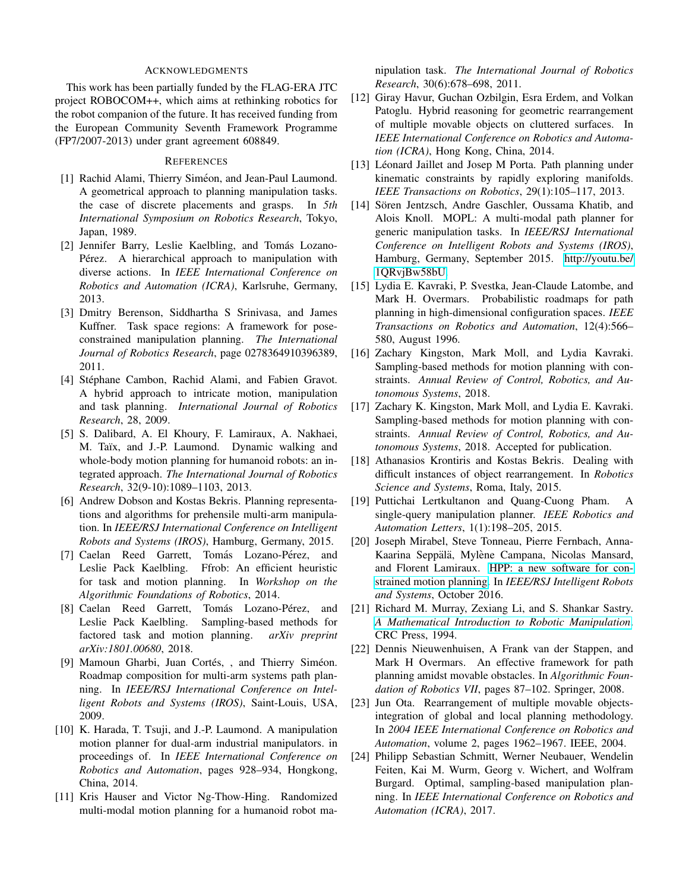## ACKNOWLEDGMENTS

This work has been partially funded by the FLAG-ERA JTC project ROBOCOM++, which aims at rethinking robotics for the robot companion of the future. It has received funding from the European Community Seventh Framework Programme (FP7/2007-2013) under grant agreement 608849.

## **REFERENCES**

- <span id="page-7-3"></span>[1] Rachid Alami, Thierry Siméon, and Jean-Paul Laumond. A geometrical approach to planning manipulation tasks. the case of discrete placements and grasps. In *5th International Symposium on Robotics Research*, Tokyo, Japan, 1989.
- <span id="page-7-17"></span>[2] Jennifer Barry, Leslie Kaelbling, and Tomás Lozano-Pérez. A hierarchical approach to manipulation with diverse actions. In *IEEE International Conference on Robotics and Automation (ICRA)*, Karlsruhe, Germany, 2013.
- <span id="page-7-1"></span>[3] Dmitry Berenson, Siddhartha S Srinivasa, and James Kuffner. Task space regions: A framework for poseconstrained manipulation planning. *The International Journal of Robotics Research*, page 0278364910396389, 2011.
- <span id="page-7-16"></span>[4] Stéphane Cambon, Rachid Alami, and Fabien Gravot. A hybrid approach to intricate motion, manipulation and task planning. *International Journal of Robotics Research*, 28, 2009.
- <span id="page-7-6"></span>[5] S. Dalibard, A. El Khoury, F. Lamiraux, A. Nakhaei, M. Taïx, and J.-P. Laumond. Dynamic walking and whole-body motion planning for humanoid robots: an integrated approach. *The International Journal of Robotics Research*, 32(9-10):1089–1103, 2013.
- <span id="page-7-12"></span>[6] Andrew Dobson and Kostas Bekris. Planning representations and algorithms for prehensile multi-arm manipulation. In *IEEE/RSJ International Conference on Intelligent Robots and Systems (IROS)*, Hamburg, Germany, 2015.
- <span id="page-7-18"></span>[7] Caelan Reed Garrett, Tomás Lozano-Pérez, and Leslie Pack Kaelbling. Ffrob: An efficient heuristic for task and motion planning. In *Workshop on the Algorithmic Foundations of Robotics*, 2014.
- <span id="page-7-20"></span>[8] Caelan Reed Garrett, Tomás Lozano-Pérez, and Leslie Pack Kaelbling. Sampling-based methods for factored task and motion planning. *arXiv preprint arXiv:1801.00680*, 2018.
- <span id="page-7-10"></span>[9] Mamoun Gharbi, Juan Cortés, , and Thierry Siméon. Roadmap composition for multi-arm systems path planning. In *IEEE/RSJ International Conference on Intelligent Robots and Systems (IROS)*, Saint-Louis, USA, 2009.
- <span id="page-7-11"></span>[10] K. Harada, T. Tsuji, and J.-P. Laumond. A manipulation motion planner for dual-arm industrial manipulators. in proceedings of. In *IEEE International Conference on Robotics and Automation*, pages 928–934, Hongkong, China, 2014.
- <span id="page-7-15"></span>[11] Kris Hauser and Victor Ng-Thow-Hing. Randomized multi-modal motion planning for a humanoid robot ma-

nipulation task. *The International Journal of Robotics Research*, 30(6):678–698, 2011.

- <span id="page-7-19"></span>[12] Giray Havur, Guchan Ozbilgin, Esra Erdem, and Volkan Patoglu. Hybrid reasoning for geometric rearrangement of multiple movable objects on cluttered surfaces. In *IEEE International Conference on Robotics and Automation (ICRA)*, Hong Kong, China, 2014.
- <span id="page-7-2"></span>[13] Léonard Jaillet and Josep M Porta. Path planning under kinematic constraints by rapidly exploring manifolds. *IEEE Transactions on Robotics*, 29(1):105–117, 2013.
- <span id="page-7-14"></span>[14] Sören Jentzsch, Andre Gaschler, Oussama Khatib, and Alois Knoll. MOPL: A multi-modal path planner for generic manipulation tasks. In *IEEE/RSJ International Conference on Intelligent Robots and Systems (IROS)*, Hamburg, Germany, September 2015. [http://youtu.be/](http://youtu.be/1QRvjBw58bU) [1QRvjBw58bU.](http://youtu.be/1QRvjBw58bU)
- <span id="page-7-4"></span>[15] Lydia E. Kavraki, P. Svestka, Jean-Claude Latombe, and Mark H. Overmars. Probabilistic roadmaps for path planning in high-dimensional configuration spaces. *IEEE Transactions on Robotics and Automation*, 12(4):566– 580, August 1996.
- <span id="page-7-21"></span>[16] Zachary Kingston, Mark Moll, and Lydia Kavraki. Sampling-based methods for motion planning with constraints. *Annual Review of Control, Robotics, and Autonomous Systems*, 2018.
- <span id="page-7-0"></span>[17] Zachary K. Kingston, Mark Moll, and Lydia E. Kavraki. Sampling-based methods for motion planning with constraints. *Annual Review of Control, Robotics, and Autonomous Systems*, 2018. Accepted for publication.
- <span id="page-7-7"></span>[18] Athanasios Krontiris and Kostas Bekris. Dealing with difficult instances of object rearrangement. In *Robotics Science and Systems*, Roma, Italy, 2015.
- <span id="page-7-9"></span>[19] Puttichai Lertkultanon and Quang-Cuong Pham. A single-query manipulation planner. *IEEE Robotics and Automation Letters*, 1(1):198–205, 2015.
- <span id="page-7-13"></span>[20] Joseph Mirabel, Steve Tonneau, Pierre Fernbach, Anna-Kaarina Seppälä, Mylène Campana, Nicolas Mansard, and Florent Lamiraux. [HPP: a new software for con]( http://hal.archives-ouvertes.fr/hal-01290850/document )[strained motion planning.]( http://hal.archives-ouvertes.fr/hal-01290850/document ) In *IEEE/RSJ Intelligent Robots and Systems*, October 2016.
- <span id="page-7-22"></span>[21] Richard M. Murray, Zexiang Li, and S. Shankar Sastry. *[A Mathematical Introduction to Robotic Manipulation](http://www.cds.caltech.edu/~murray/books/MLS/pdf/mls94-complete.pdf)*. CRC Press, 1994.
- <span id="page-7-5"></span>[22] Dennis Nieuwenhuisen, A Frank van der Stappen, and Mark H Overmars. An effective framework for path planning amidst movable obstacles. In *Algorithmic Foundation of Robotics VII*, pages 87–102. Springer, 2008.
- <span id="page-7-8"></span>[23] Jun Ota. Rearrangement of multiple movable objectsintegration of global and local planning methodology. In *2004 IEEE International Conference on Robotics and Automation*, volume 2, pages 1962–1967. IEEE, 2004.
- <span id="page-7-23"></span>[24] Philipp Sebastian Schmitt, Werner Neubauer, Wendelin Feiten, Kai M. Wurm, Georg v. Wichert, and Wolfram Burgard. Optimal, sampling-based manipulation planning. In *IEEE International Conference on Robotics and Automation (ICRA)*, 2017.